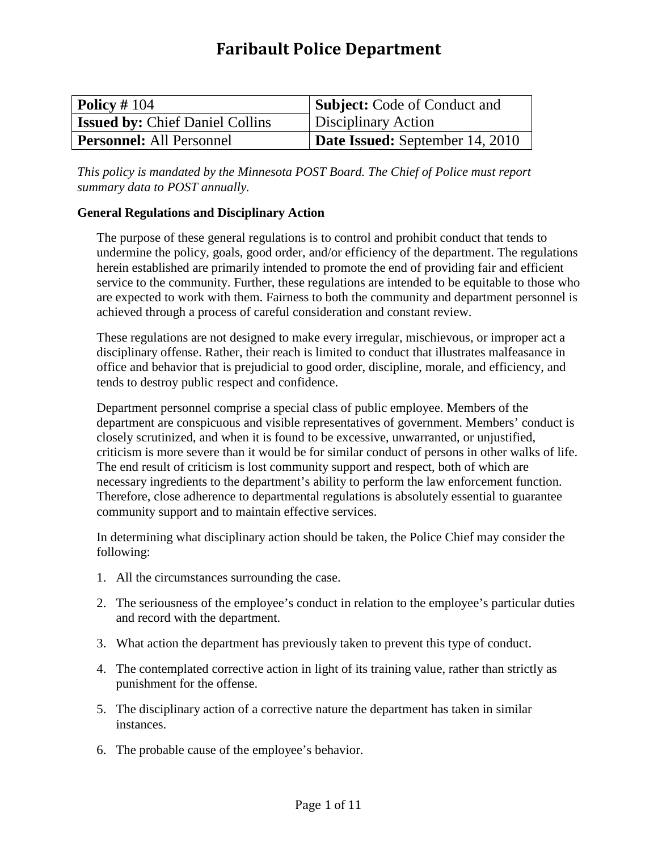# **Faribault Police Department**

| $\vert$ Policy # 104                   | <b>Subject:</b> Code of Conduct and    |
|----------------------------------------|----------------------------------------|
| <b>Issued by: Chief Daniel Collins</b> | Disciplinary Action                    |
| <b>Personnel:</b> All Personnel        | <b>Date Issued:</b> September 14, 2010 |

*This policy is mandated by the Minnesota POST Board. The Chief of Police must report summary data to POST annually.*

# **General Regulations and Disciplinary Action**

The purpose of these general regulations is to control and prohibit conduct that tends to undermine the policy, goals, good order, and/or efficiency of the department. The regulations herein established are primarily intended to promote the end of providing fair and efficient service to the community. Further, these regulations are intended to be equitable to those who are expected to work with them. Fairness to both the community and department personnel is achieved through a process of careful consideration and constant review.

These regulations are not designed to make every irregular, mischievous, or improper act a disciplinary offense. Rather, their reach is limited to conduct that illustrates malfeasance in office and behavior that is prejudicial to good order, discipline, morale, and efficiency, and tends to destroy public respect and confidence.

Department personnel comprise a special class of public employee. Members of the department are conspicuous and visible representatives of government. Members' conduct is closely scrutinized, and when it is found to be excessive, unwarranted, or unjustified, criticism is more severe than it would be for similar conduct of persons in other walks of life. The end result of criticism is lost community support and respect, both of which are necessary ingredients to the department's ability to perform the law enforcement function. Therefore, close adherence to departmental regulations is absolutely essential to guarantee community support and to maintain effective services.

In determining what disciplinary action should be taken, the Police Chief may consider the following:

- 1. All the circumstances surrounding the case.
- 2. The seriousness of the employee's conduct in relation to the employee's particular duties and record with the department.
- 3. What action the department has previously taken to prevent this type of conduct.
- 4. The contemplated corrective action in light of its training value, rather than strictly as punishment for the offense.
- 5. The disciplinary action of a corrective nature the department has taken in similar instances.
- 6. The probable cause of the employee's behavior.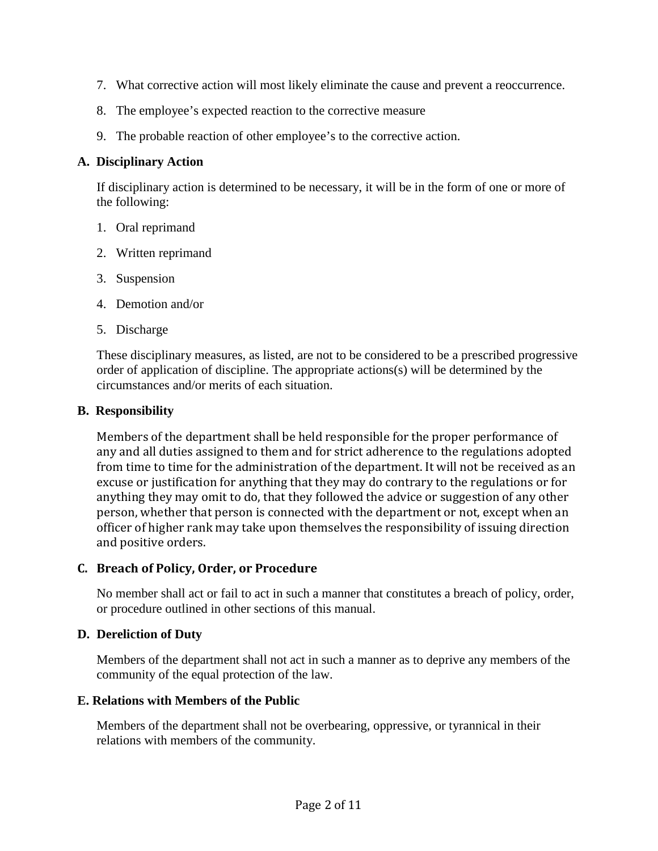- 7. What corrective action will most likely eliminate the cause and prevent a reoccurrence.
- 8. The employee's expected reaction to the corrective measure
- 9. The probable reaction of other employee's to the corrective action.

# **A. Disciplinary Action**

If disciplinary action is determined to be necessary, it will be in the form of one or more of the following:

- 1. Oral reprimand
- 2. Written reprimand
- 3. Suspension
- 4. Demotion and/or
- 5. Discharge

These disciplinary measures, as listed, are not to be considered to be a prescribed progressive order of application of discipline. The appropriate actions(s) will be determined by the circumstances and/or merits of each situation.

# **B. Responsibility**

Members of the department shall be held responsible for the proper performance of any and all duties assigned to them and for strict adherence to the regulations adopted from time to time for the administration of the department. It will not be received as an excuse or justification for anything that they may do contrary to the regulations or for anything they may omit to do, that they followed the advice or suggestion of any other person, whether that person is connected with the department or not, except when an officer of higher rank may take upon themselves the responsibility of issuing direction and positive orders.

# **C. Breach of Policy, Order, or Procedure**

No member shall act or fail to act in such a manner that constitutes a breach of policy, order, or procedure outlined in other sections of this manual.

# **D. Dereliction of Duty**

Members of the department shall not act in such a manner as to deprive any members of the community of the equal protection of the law.

# **E. Relations with Members of the Public**

Members of the department shall not be overbearing, oppressive, or tyrannical in their relations with members of the community.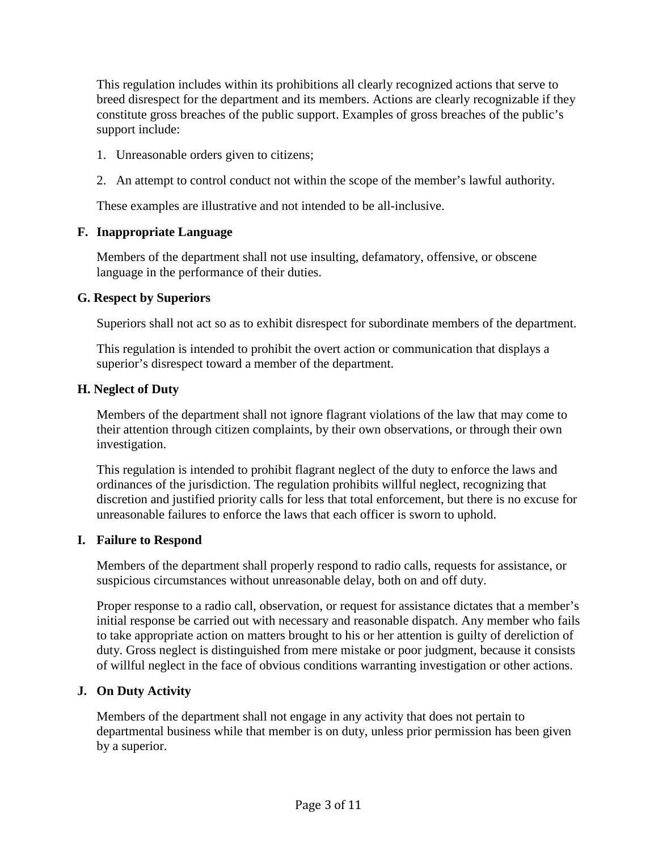This regulation includes within its prohibitions all clearly recognized actions that serve to breed disrespect for the department and its members. Actions are clearly recognizable if they constitute gross breaches of the public support. Examples of gross breaches of the public's support include:

- 1. Unreasonable orders given to citizens;
- 2. An attempt to control conduct not within the scope of the member's lawful authority.

These examples are illustrative and not intended to be all-inclusive.

#### **F. Inappropriate Language**

Members of the department shall not use insulting, defamatory, offensive, or obscene language in the performance of their duties.

#### **G. Respect by Superiors**

Superiors shall not act so as to exhibit disrespect for subordinate members of the department.

This regulation is intended to prohibit the overt action or communication that displays a superior's disrespect toward a member of the department.

#### **H. Neglect of Duty**

Members of the department shall not ignore flagrant violations of the law that may come to their attention through citizen complaints, by their own observations, or through their own investigation.

This regulation is intended to prohibit flagrant neglect of the duty to enforce the laws and ordinances of the jurisdiction. The regulation prohibits willful neglect, recognizing that discretion and justified priority calls for less that total enforcement, but there is no excuse for unreasonable failures to enforce the laws that each officer is sworn to uphold.

#### **I. Failure to Respond**

Members of the department shall properly respond to radio calls, requests for assistance, or suspicious circumstances without unreasonable delay, both on and off duty.

Proper response to a radio call, observation, or request for assistance dictates that a member's initial response be carried out with necessary and reasonable dispatch. Any member who fails to take appropriate action on matters brought to his or her attention is guilty of dereliction of duty. Gross neglect is distinguished from mere mistake or poor judgment, because it consists of willful neglect in the face of obvious conditions warranting investigation or other actions.

# **J. On Duty Activity**

Members of the department shall not engage in any activity that does not pertain to departmental business while that member is on duty, unless prior permission has been given by a superior.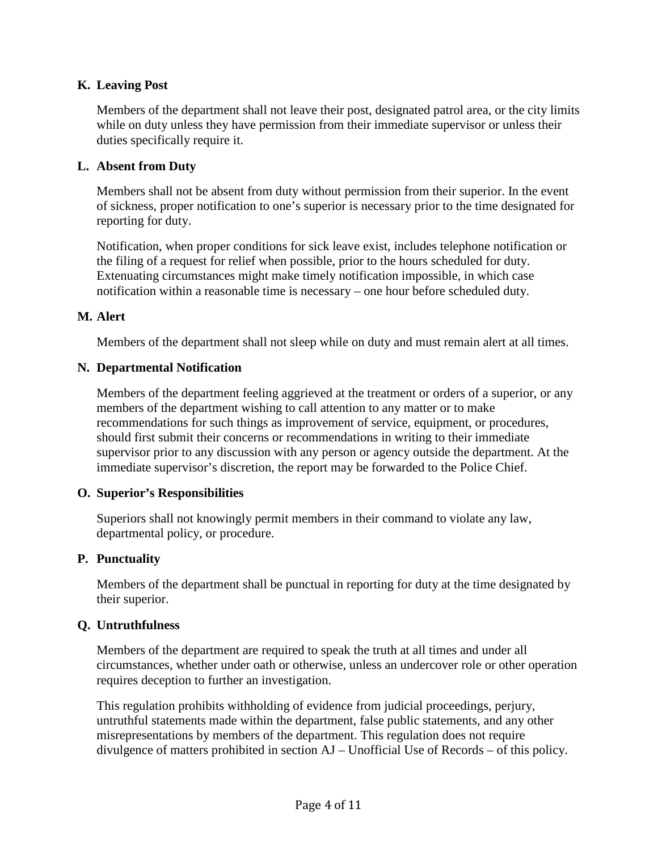# **K. Leaving Post**

Members of the department shall not leave their post, designated patrol area, or the city limits while on duty unless they have permission from their immediate supervisor or unless their duties specifically require it.

## **L. Absent from Duty**

Members shall not be absent from duty without permission from their superior. In the event of sickness, proper notification to one's superior is necessary prior to the time designated for reporting for duty.

Notification, when proper conditions for sick leave exist, includes telephone notification or the filing of a request for relief when possible, prior to the hours scheduled for duty. Extenuating circumstances might make timely notification impossible, in which case notification within a reasonable time is necessary – one hour before scheduled duty.

#### **M. Alert**

Members of the department shall not sleep while on duty and must remain alert at all times.

#### **N. Departmental Notification**

Members of the department feeling aggrieved at the treatment or orders of a superior, or any members of the department wishing to call attention to any matter or to make recommendations for such things as improvement of service, equipment, or procedures, should first submit their concerns or recommendations in writing to their immediate supervisor prior to any discussion with any person or agency outside the department. At the immediate supervisor's discretion, the report may be forwarded to the Police Chief.

# **O. Superior's Responsibilities**

Superiors shall not knowingly permit members in their command to violate any law, departmental policy, or procedure.

#### **P. Punctuality**

Members of the department shall be punctual in reporting for duty at the time designated by their superior.

# **Q. Untruthfulness**

Members of the department are required to speak the truth at all times and under all circumstances, whether under oath or otherwise, unless an undercover role or other operation requires deception to further an investigation.

This regulation prohibits withholding of evidence from judicial proceedings, perjury, untruthful statements made within the department, false public statements, and any other misrepresentations by members of the department. This regulation does not require divulgence of matters prohibited in section AJ – Unofficial Use of Records – of this policy.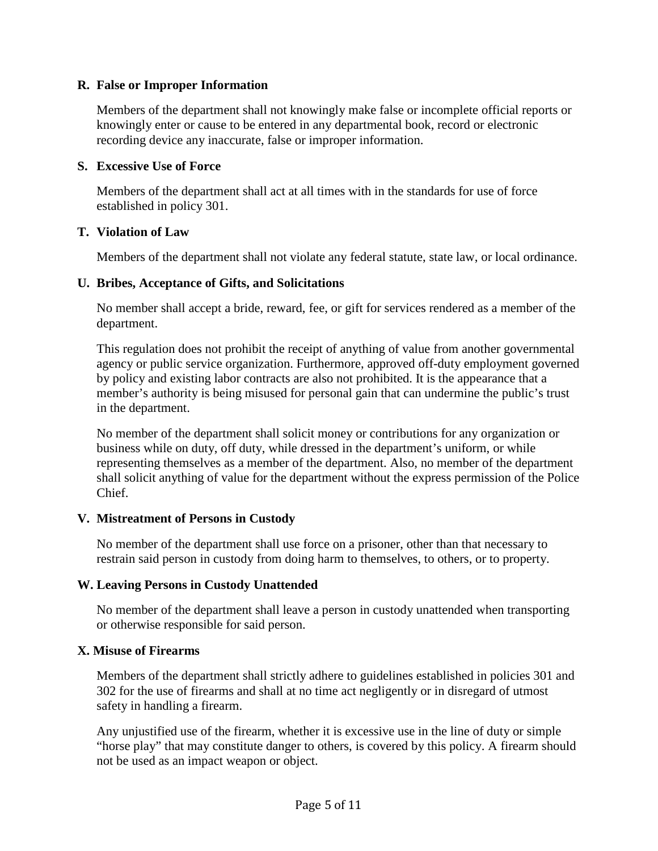## **R. False or Improper Information**

Members of the department shall not knowingly make false or incomplete official reports or knowingly enter or cause to be entered in any departmental book, record or electronic recording device any inaccurate, false or improper information.

#### **S. Excessive Use of Force**

Members of the department shall act at all times with in the standards for use of force established in policy 301.

#### **T. Violation of Law**

Members of the department shall not violate any federal statute, state law, or local ordinance.

#### **U. Bribes, Acceptance of Gifts, and Solicitations**

No member shall accept a bride, reward, fee, or gift for services rendered as a member of the department.

This regulation does not prohibit the receipt of anything of value from another governmental agency or public service organization. Furthermore, approved off-duty employment governed by policy and existing labor contracts are also not prohibited. It is the appearance that a member's authority is being misused for personal gain that can undermine the public's trust in the department.

No member of the department shall solicit money or contributions for any organization or business while on duty, off duty, while dressed in the department's uniform, or while representing themselves as a member of the department. Also, no member of the department shall solicit anything of value for the department without the express permission of the Police Chief.

# **V. Mistreatment of Persons in Custody**

No member of the department shall use force on a prisoner, other than that necessary to restrain said person in custody from doing harm to themselves, to others, or to property.

# **W. Leaving Persons in Custody Unattended**

No member of the department shall leave a person in custody unattended when transporting or otherwise responsible for said person.

#### **X. Misuse of Firearms**

Members of the department shall strictly adhere to guidelines established in policies 301 and 302 for the use of firearms and shall at no time act negligently or in disregard of utmost safety in handling a firearm.

Any unjustified use of the firearm, whether it is excessive use in the line of duty or simple "horse play" that may constitute danger to others, is covered by this policy. A firearm should not be used as an impact weapon or object.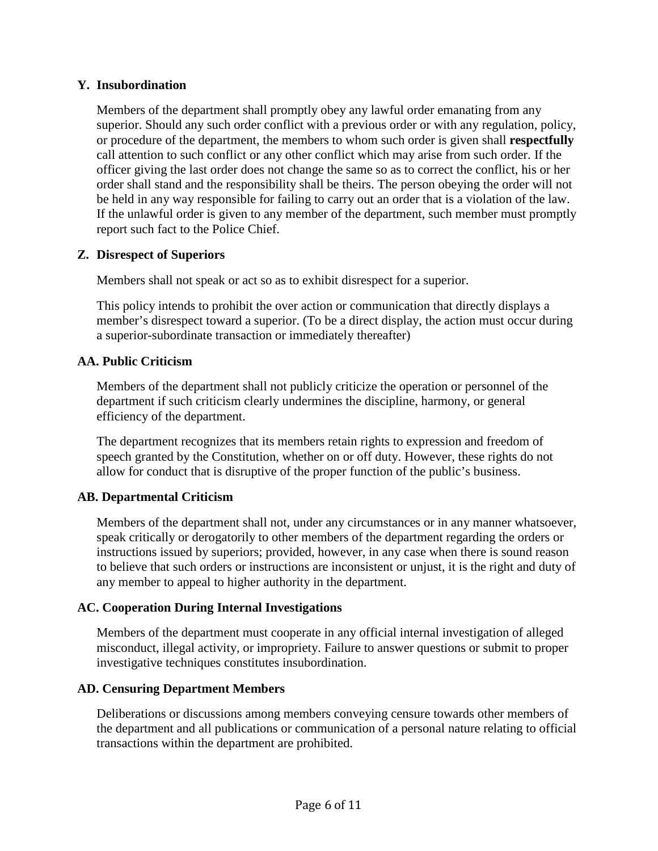## **Y. Insubordination**

Members of the department shall promptly obey any lawful order emanating from any superior. Should any such order conflict with a previous order or with any regulation, policy, or procedure of the department, the members to whom such order is given shall **respectfully** call attention to such conflict or any other conflict which may arise from such order. If the officer giving the last order does not change the same so as to correct the conflict, his or her order shall stand and the responsibility shall be theirs. The person obeying the order will not be held in any way responsible for failing to carry out an order that is a violation of the law. If the unlawful order is given to any member of the department, such member must promptly report such fact to the Police Chief.

#### **Z. Disrespect of Superiors**

Members shall not speak or act so as to exhibit disrespect for a superior.

This policy intends to prohibit the over action or communication that directly displays a member's disrespect toward a superior. (To be a direct display, the action must occur during a superior-subordinate transaction or immediately thereafter)

#### **AA. Public Criticism**

Members of the department shall not publicly criticize the operation or personnel of the department if such criticism clearly undermines the discipline, harmony, or general efficiency of the department.

The department recognizes that its members retain rights to expression and freedom of speech granted by the Constitution, whether on or off duty. However, these rights do not allow for conduct that is disruptive of the proper function of the public's business.

# **AB. Departmental Criticism**

Members of the department shall not, under any circumstances or in any manner whatsoever, speak critically or derogatorily to other members of the department regarding the orders or instructions issued by superiors; provided, however, in any case when there is sound reason to believe that such orders or instructions are inconsistent or unjust, it is the right and duty of any member to appeal to higher authority in the department.

#### **AC. Cooperation During Internal Investigations**

Members of the department must cooperate in any official internal investigation of alleged misconduct, illegal activity, or impropriety. Failure to answer questions or submit to proper investigative techniques constitutes insubordination.

#### **AD. Censuring Department Members**

Deliberations or discussions among members conveying censure towards other members of the department and all publications or communication of a personal nature relating to official transactions within the department are prohibited.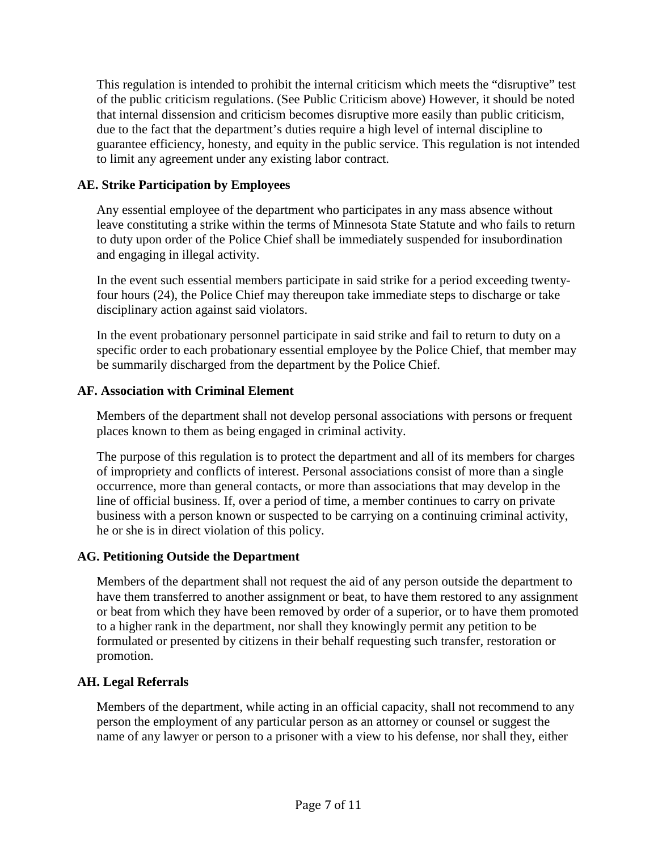This regulation is intended to prohibit the internal criticism which meets the "disruptive" test of the public criticism regulations. (See Public Criticism above) However, it should be noted that internal dissension and criticism becomes disruptive more easily than public criticism, due to the fact that the department's duties require a high level of internal discipline to guarantee efficiency, honesty, and equity in the public service. This regulation is not intended to limit any agreement under any existing labor contract.

# **AE. Strike Participation by Employees**

Any essential employee of the department who participates in any mass absence without leave constituting a strike within the terms of Minnesota State Statute and who fails to return to duty upon order of the Police Chief shall be immediately suspended for insubordination and engaging in illegal activity.

In the event such essential members participate in said strike for a period exceeding twentyfour hours (24), the Police Chief may thereupon take immediate steps to discharge or take disciplinary action against said violators.

In the event probationary personnel participate in said strike and fail to return to duty on a specific order to each probationary essential employee by the Police Chief, that member may be summarily discharged from the department by the Police Chief.

# **AF. Association with Criminal Element**

Members of the department shall not develop personal associations with persons or frequent places known to them as being engaged in criminal activity.

The purpose of this regulation is to protect the department and all of its members for charges of impropriety and conflicts of interest. Personal associations consist of more than a single occurrence, more than general contacts, or more than associations that may develop in the line of official business. If, over a period of time, a member continues to carry on private business with a person known or suspected to be carrying on a continuing criminal activity, he or she is in direct violation of this policy.

# **AG. Petitioning Outside the Department**

Members of the department shall not request the aid of any person outside the department to have them transferred to another assignment or beat, to have them restored to any assignment or beat from which they have been removed by order of a superior, or to have them promoted to a higher rank in the department, nor shall they knowingly permit any petition to be formulated or presented by citizens in their behalf requesting such transfer, restoration or promotion.

# **AH. Legal Referrals**

Members of the department, while acting in an official capacity, shall not recommend to any person the employment of any particular person as an attorney or counsel or suggest the name of any lawyer or person to a prisoner with a view to his defense, nor shall they, either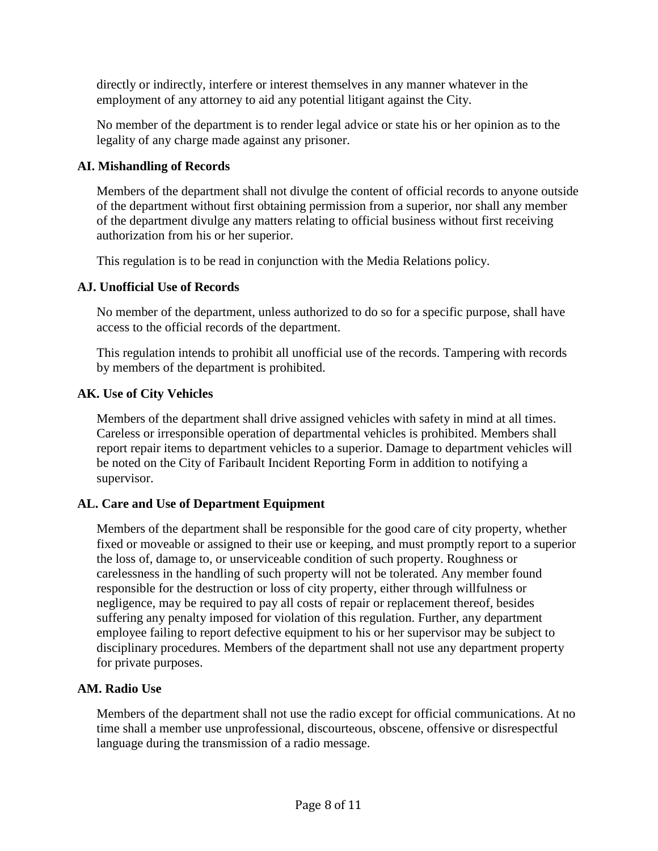directly or indirectly, interfere or interest themselves in any manner whatever in the employment of any attorney to aid any potential litigant against the City.

No member of the department is to render legal advice or state his or her opinion as to the legality of any charge made against any prisoner.

# **AI. Mishandling of Records**

Members of the department shall not divulge the content of official records to anyone outside of the department without first obtaining permission from a superior, nor shall any member of the department divulge any matters relating to official business without first receiving authorization from his or her superior.

This regulation is to be read in conjunction with the Media Relations policy.

# **AJ. Unofficial Use of Records**

No member of the department, unless authorized to do so for a specific purpose, shall have access to the official records of the department.

This regulation intends to prohibit all unofficial use of the records. Tampering with records by members of the department is prohibited.

# **AK. Use of City Vehicles**

Members of the department shall drive assigned vehicles with safety in mind at all times. Careless or irresponsible operation of departmental vehicles is prohibited. Members shall report repair items to department vehicles to a superior. Damage to department vehicles will be noted on the City of Faribault Incident Reporting Form in addition to notifying a supervisor.

# **AL. Care and Use of Department Equipment**

Members of the department shall be responsible for the good care of city property, whether fixed or moveable or assigned to their use or keeping, and must promptly report to a superior the loss of, damage to, or unserviceable condition of such property. Roughness or carelessness in the handling of such property will not be tolerated. Any member found responsible for the destruction or loss of city property, either through willfulness or negligence, may be required to pay all costs of repair or replacement thereof, besides suffering any penalty imposed for violation of this regulation. Further, any department employee failing to report defective equipment to his or her supervisor may be subject to disciplinary procedures. Members of the department shall not use any department property for private purposes.

# **AM. Radio Use**

Members of the department shall not use the radio except for official communications. At no time shall a member use unprofessional, discourteous, obscene, offensive or disrespectful language during the transmission of a radio message.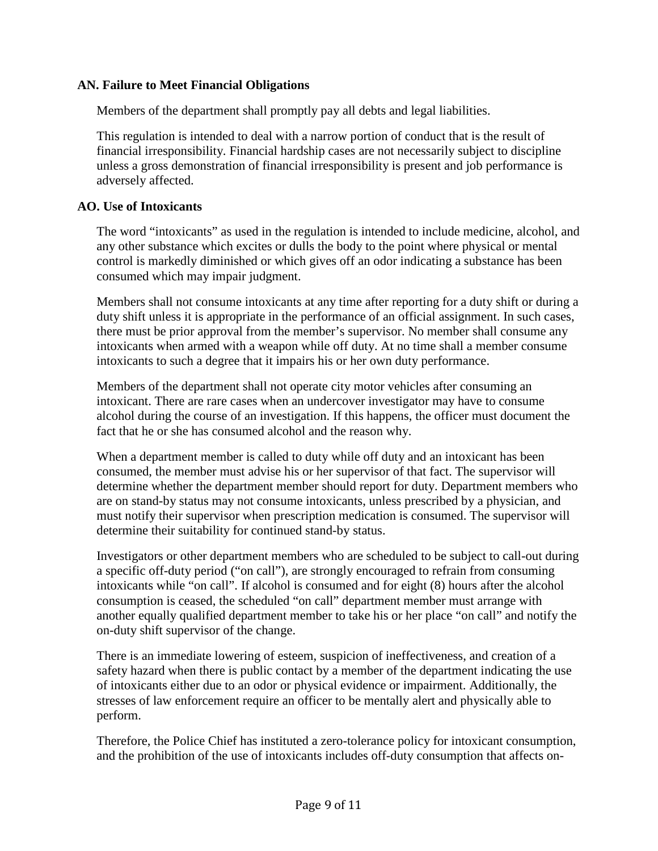# **AN. Failure to Meet Financial Obligations**

Members of the department shall promptly pay all debts and legal liabilities.

This regulation is intended to deal with a narrow portion of conduct that is the result of financial irresponsibility. Financial hardship cases are not necessarily subject to discipline unless a gross demonstration of financial irresponsibility is present and job performance is adversely affected.

# **AO. Use of Intoxicants**

The word "intoxicants" as used in the regulation is intended to include medicine, alcohol, and any other substance which excites or dulls the body to the point where physical or mental control is markedly diminished or which gives off an odor indicating a substance has been consumed which may impair judgment.

Members shall not consume intoxicants at any time after reporting for a duty shift or during a duty shift unless it is appropriate in the performance of an official assignment. In such cases, there must be prior approval from the member's supervisor. No member shall consume any intoxicants when armed with a weapon while off duty. At no time shall a member consume intoxicants to such a degree that it impairs his or her own duty performance.

Members of the department shall not operate city motor vehicles after consuming an intoxicant. There are rare cases when an undercover investigator may have to consume alcohol during the course of an investigation. If this happens, the officer must document the fact that he or she has consumed alcohol and the reason why.

When a department member is called to duty while off duty and an intoxicant has been consumed, the member must advise his or her supervisor of that fact. The supervisor will determine whether the department member should report for duty. Department members who are on stand-by status may not consume intoxicants, unless prescribed by a physician, and must notify their supervisor when prescription medication is consumed. The supervisor will determine their suitability for continued stand-by status.

Investigators or other department members who are scheduled to be subject to call-out during a specific off-duty period ("on call"), are strongly encouraged to refrain from consuming intoxicants while "on call". If alcohol is consumed and for eight (8) hours after the alcohol consumption is ceased, the scheduled "on call" department member must arrange with another equally qualified department member to take his or her place "on call" and notify the on-duty shift supervisor of the change.

There is an immediate lowering of esteem, suspicion of ineffectiveness, and creation of a safety hazard when there is public contact by a member of the department indicating the use of intoxicants either due to an odor or physical evidence or impairment. Additionally, the stresses of law enforcement require an officer to be mentally alert and physically able to perform.

Therefore, the Police Chief has instituted a zero-tolerance policy for intoxicant consumption, and the prohibition of the use of intoxicants includes off-duty consumption that affects on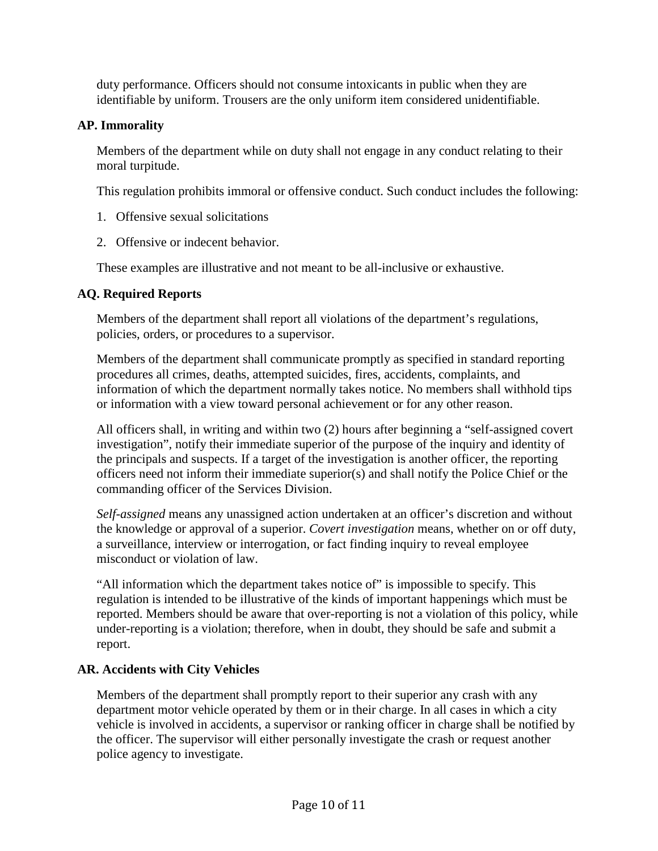duty performance. Officers should not consume intoxicants in public when they are identifiable by uniform. Trousers are the only uniform item considered unidentifiable.

# **AP. Immorality**

Members of the department while on duty shall not engage in any conduct relating to their moral turpitude.

This regulation prohibits immoral or offensive conduct. Such conduct includes the following:

- 1. Offensive sexual solicitations
- 2. Offensive or indecent behavior.

These examples are illustrative and not meant to be all-inclusive or exhaustive.

# **AQ. Required Reports**

Members of the department shall report all violations of the department's regulations, policies, orders, or procedures to a supervisor.

Members of the department shall communicate promptly as specified in standard reporting procedures all crimes, deaths, attempted suicides, fires, accidents, complaints, and information of which the department normally takes notice. No members shall withhold tips or information with a view toward personal achievement or for any other reason.

All officers shall, in writing and within two (2) hours after beginning a "self-assigned covert investigation", notify their immediate superior of the purpose of the inquiry and identity of the principals and suspects. If a target of the investigation is another officer, the reporting officers need not inform their immediate superior(s) and shall notify the Police Chief or the commanding officer of the Services Division.

*Self-assigned* means any unassigned action undertaken at an officer's discretion and without the knowledge or approval of a superior. *Covert investigation* means, whether on or off duty, a surveillance, interview or interrogation, or fact finding inquiry to reveal employee misconduct or violation of law.

"All information which the department takes notice of" is impossible to specify. This regulation is intended to be illustrative of the kinds of important happenings which must be reported. Members should be aware that over-reporting is not a violation of this policy, while under-reporting is a violation; therefore, when in doubt, they should be safe and submit a report.

# **AR. Accidents with City Vehicles**

Members of the department shall promptly report to their superior any crash with any department motor vehicle operated by them or in their charge. In all cases in which a city vehicle is involved in accidents, a supervisor or ranking officer in charge shall be notified by the officer. The supervisor will either personally investigate the crash or request another police agency to investigate.